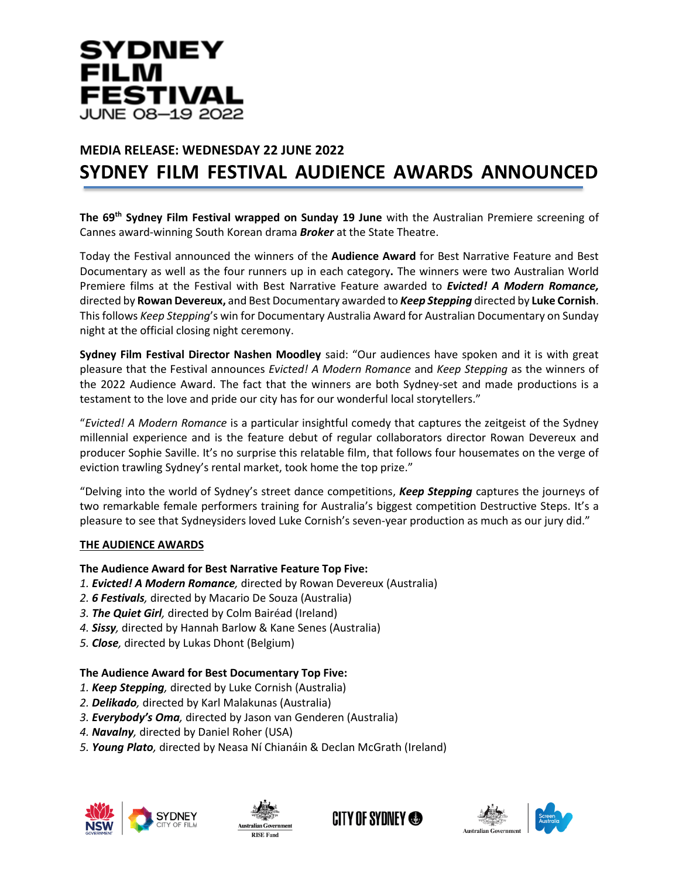

# **MEDIA RELEASE: WEDNESDAY 22 JUNE 2022 SYDNEY FILM FESTIVAL AUDIENCE AWARDS ANNOUNCED**

**The 69th Sydney Film Festival wrapped on Sunday 19 June** with the Australian Premiere screening of Cannes award-winning South Korean drama *Broker* at the State Theatre.

Today the Festival announced the winners of the **Audience Award** for Best Narrative Feature and Best Documentary as well as the four runners up in each category**.** The winners were two Australian World Premiere films at the Festival with Best Narrative Feature awarded to *Evicted! A Modern Romance,* directed by **Rowan Devereux,** and Best Documentary awarded to *Keep Stepping* directed by **Luke Cornish**. This follows *Keep Stepping*'s win for Documentary Australia Award for Australian Documentary on Sunday night at the official closing night ceremony.

**Sydney Film Festival Director Nashen Moodley** said: "Our audiences have spoken and it is with great pleasure that the Festival announces *Evicted! A Modern Romance* and *Keep Stepping* as the winners of the 2022 Audience Award. The fact that the winners are both Sydney-set and made productions is a testament to the love and pride our city has for our wonderful local storytellers."

"*Evicted! A Modern Romance* is a particular insightful comedy that captures the zeitgeist of the Sydney millennial experience and is the feature debut of regular collaborators director Rowan Devereux and producer Sophie Saville. It's no surprise this relatable film, that follows four housemates on the verge of eviction trawling Sydney's rental market, took home the top prize."

"Delving into the world of Sydney's street dance competitions, *Keep Stepping* captures the journeys of two remarkable female performers training for Australia's biggest competition Destructive Steps. It's a pleasure to see that Sydneysiders loved Luke Cornish's seven-year production as much as our jury did."

#### **THE AUDIENCE AWARDS**

# **The Audience Award for Best Narrative Feature Top Five:**

- *1. Evicted! A Modern Romance,* directed by Rowan Devereux (Australia)
- *2. 6 Festivals,* directed by Macario De Souza (Australia)
- *3. The Quiet Girl,* directed by Colm Bairéad (Ireland)
- *4. Sissy,* directed by Hannah Barlow & Kane Senes (Australia)
- *5. Close,* directed by Lukas Dhont (Belgium)

# **The Audience Award for Best Documentary Top Five:**

- *1. Keep Stepping,* directed by Luke Cornish (Australia)
- *2. Delikado,* directed by Karl Malakunas (Australia)
- *3. Everybody's Oma,* directed by Jason van Genderen (Australia)
- *4. Navalny,* directed by Daniel Roher (USA)
- *5. Young Plato,* directed by Neasa Ní Chianáin & Declan McGrath (Ireland)









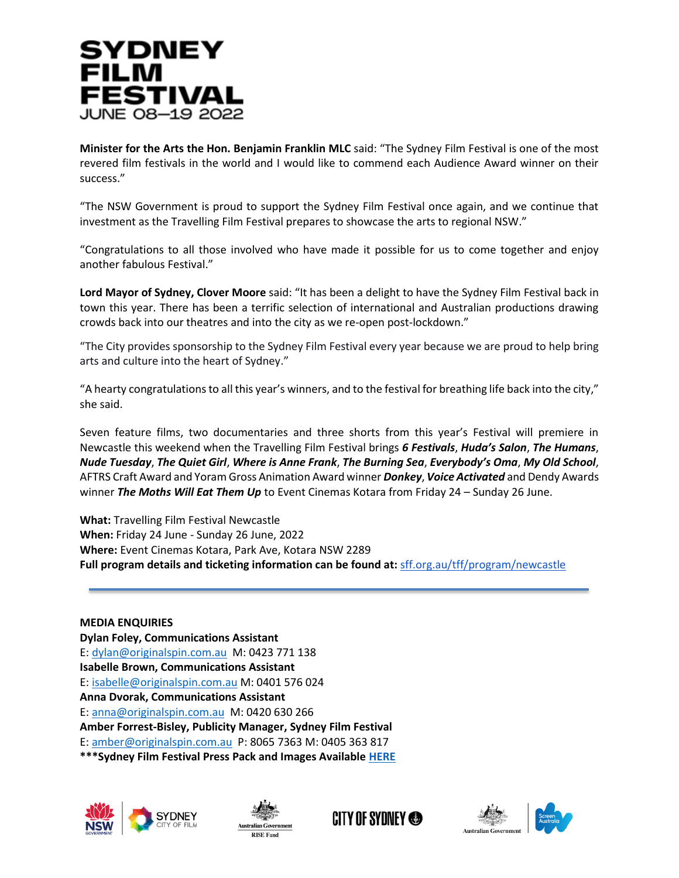

**Minister for the Arts the Hon. Benjamin Franklin MLC** said: "The Sydney Film Festival is one of the most revered film festivals in the world and I would like to commend each Audience Award winner on their success."

"The NSW Government is proud to support the Sydney Film Festival once again, and we continue that investment as the Travelling Film Festival prepares to showcase the arts to regional NSW."

"Congratulations to all those involved who have made it possible for us to come together and enjoy another fabulous Festival."

**Lord Mayor of Sydney, Clover Moore** said: "It has been a delight to have the Sydney Film Festival back in town this year. There has been a terrific selection of international and Australian productions drawing crowds back into our theatres and into the city as we re-open post-lockdown."

"The City provides sponsorship to the Sydney Film Festival every year because we are proud to help bring arts and culture into the heart of Sydney."

"A hearty congratulations to all this year's winners, and to the festival for breathing life back into the city," she said.

Seven feature films, two documentaries and three shorts from this year's Festival will premiere in Newcastle this weekend when the Travelling Film Festival brings *6 Festivals*, *Huda's Salon*, *The Humans*, *Nude Tuesday*, *The Quiet Girl*, *Where is Anne Frank*, *The Burning Sea*, *Everybody's Oma*, *My Old School*, AFTRS Craft Award and Yoram Gross Animation Award winner *Donkey*, *Voice Activated* and Dendy Awards winner *The Moths Will Eat Them Up* to Event Cinemas Kotara from Friday 24 – Sunday 26 June.

**What:** Travelling Film Festival Newcastle **When:** Friday 24 June - Sunday 26 June, 2022 **Where:** Event Cinemas Kotara, Park Ave, Kotara NSW 2289 **Full program details and ticketing information can be found at:** [sff.org.au/tff/program/newcastle](https://www.sff.org.au/tff/program/newcastle)

**MEDIA ENQUIRIES Dylan Foley, Communications Assistant** E: [dylan@originalspin.com.au](mailto:dylan@originalspin.com.au) M: 0423 771 138 **Isabelle Brown, Communications Assistant** E: [isabelle@originalspin.com.au](mailto:isabelle@originalspin.com.au) M: 0401 576 024 **Anna Dvorak, Communications Assistant** E: [anna@originalspin.com.au](mailto:anna@originalspin.com.au) M: 0420 630 266 **Amber Forrest-Bisley, Publicity Manager, Sydney Film Festival** E: [amber@originalspin.com.au](mailto:amber@originalspin.com.au) P: 8065 7363 M: 0405 363 817 **\*\*\*Sydney Film Festival Press Pack and Images Available [HERE](https://drive.google.com/drive/folders/1WZwA3MN0IB67A5RNeIV0L2SlMGb0H4eh?usp=sharing)**